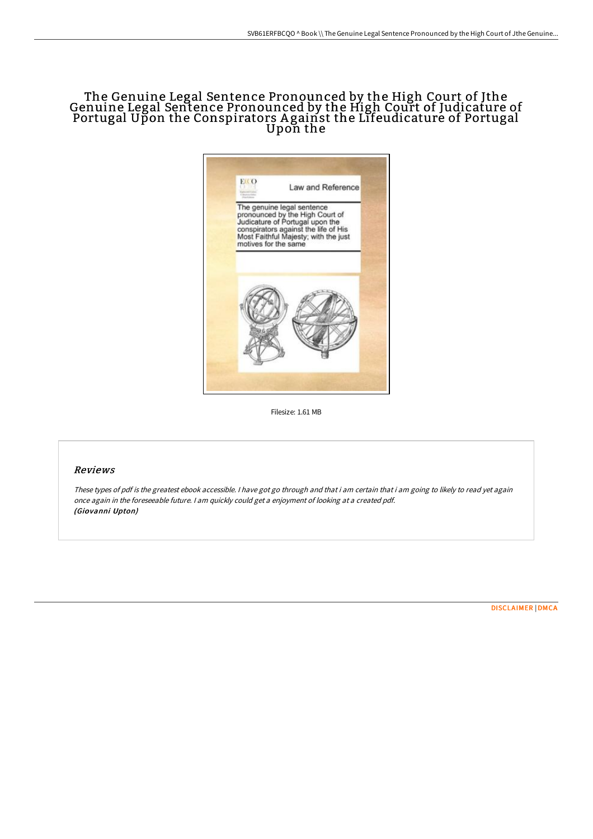## The Genuine Legal Sentence Pronounced by the High Court of Jthe Genuine Legal Sentence Pronounced by the High Court of Judicature of Portugal Upon the Conspirators A gainst the Lifeudicature of Portugal Upon the



Filesize: 1.61 MB

## Reviews

These types of pdf is the greatest ebook accessible. I have got go through and that i am certain that i am going to likely to read yet again once again in the foreseeable future. <sup>I</sup> am quickly could get <sup>a</sup> enjoyment of looking at <sup>a</sup> created pdf. (Giovanni Upton)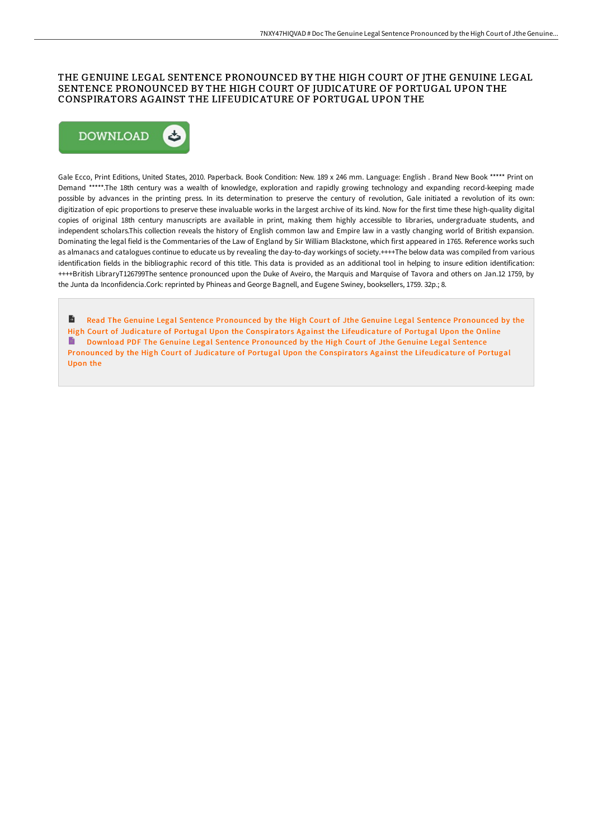### THE GENUINE LEGAL SENTENCE PRONOUNCED BY THE HIGH COURT OF JTHE GENUINE LEGAL SENTENCE PRONOUNCED BY THE HIGH COURT OF JUDICATURE OF PORTUGAL UPON THE CONSPIRATORS AGAINST THE LIFEUDICATURE OF PORTUGAL UPON THE



Gale Ecco, Print Editions, United States, 2010. Paperback. Book Condition: New. 189 x 246 mm. Language: English . Brand New Book \*\*\*\*\* Print on Demand \*\*\*\*\*.The 18th century was a wealth of knowledge, exploration and rapidly growing technology and expanding record-keeping made possible by advances in the printing press. In its determination to preserve the century of revolution, Gale initiated a revolution of its own: digitization of epic proportions to preserve these invaluable works in the largest archive of its kind. Now for the first time these high-quality digital copies of original 18th century manuscripts are available in print, making them highly accessible to libraries, undergraduate students, and independent scholars.This collection reveals the history of English common law and Empire law in a vastly changing world of British expansion. Dominating the legal field is the Commentaries of the Law of England by Sir William Blackstone, which first appeared in 1765. Reference works such as almanacs and catalogues continue to educate us by revealing the day-to-day workings of society.++++The below data was compiled from various identification fields in the bibliographic record of this title. This data is provided as an additional tool in helping to insure edition identification: ++++British LibraryT126799The sentence pronounced upon the Duke of Aveiro, the Marquis and Marquise of Tavora and others on Jan.12 1759, by the Junta da Inconfidencia.Cork: reprinted by Phineas and George Bagnell, and Eugene Swiney, booksellers, 1759. 32p.; 8.

 $\blacksquare$ Read The Genuine Legal Sentence Pronounced by the High Court of Jthe Genuine Legal Sentence Pronounced by the High Court of Judicature of Portugal Upon the Conspirators Against the [Lifeudicature](http://techno-pub.tech/the-genuine-legal-sentence-pronounced-by-the-hig.html) of Portugal Upon the Online Download PDF The Genuine Legal Sentence Pronounced by the High Court of Jthe Genuine Legal Sentence Pronounced by the High Court of Judicature of Portugal Upon the Conspirators Against the [Lifeudicature](http://techno-pub.tech/the-genuine-legal-sentence-pronounced-by-the-hig.html) of Portugal Upon the